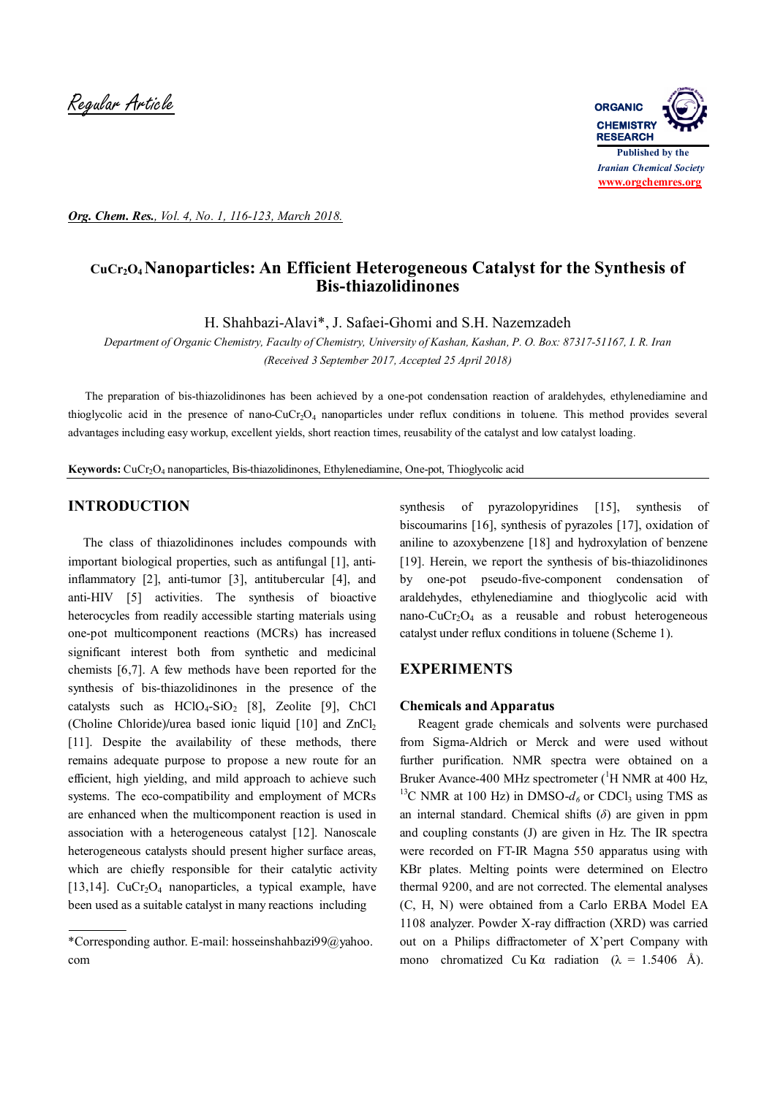

*Org. Chem. Res., Vol. 4, No. 1, 116-123, March 2018.*

# **CuCr2O4Nanoparticles: An Efficient Heterogeneous Catalyst for the Synthesis of Bis-thiazolidinones**

H. Shahbazi-Alavi\*, J. Safaei-Ghomi and S.H. Nazemzadeh

*Department of Organic Chemistry, Faculty of Chemistry, University of Kashan, Kashan, P. O. Box: 87317-51167, I. R. Iran (Received 3 September 2017, Accepted 25 April 2018)*

 The preparation of bis-thiazolidinones has been achieved by a one-pot condensation reaction of araldehydes, ethylenediamine and thioglycolic acid in the presence of nano-CuCr<sub>2</sub>O<sub>4</sub> nanoparticles under reflux conditions in toluene. This method provides several advantages including easy workup, excellent yields, short reaction times, reusability of the catalyst and low catalyst loading.

**Keywords:** CuCr2O<sup>4</sup> nanoparticles, Bis-thiazolidinones, Ethylenediamine, One-pot, Thioglycolic acid

## **INTRODUCTION**

 The class of thiazolidinones includes compounds with important biological properties, such as antifungal [1], antiinflammatory [2], anti-tumor [3], antitubercular [4], and anti-HIV [5] activities. The synthesis of bioactive heterocycles from readily accessible starting materials using one-pot multicomponent reactions (MCRs) has increased significant interest both from synthetic and medicinal chemists [6,7]. A few methods have been reported for the synthesis of bis-thiazolidinones in the presence of the catalysts such as  $HClO<sub>4</sub>-SiO<sub>2</sub>$  [8], Zeolite [9], ChCl (Choline Chloride)/urea based ionic liquid [10] and ZnCl<sub>2</sub> [11]. Despite the availability of these methods, there remains adequate purpose to propose a new route for an efficient, high yielding, and mild approach to achieve such systems. The eco-compatibility and employment of MCRs are enhanced when the multicomponent reaction is used in association with a heterogeneous catalyst [12]. Nanoscale heterogeneous catalysts should present higher surface areas, which are chiefly responsible for their catalytic activity [13,14].  $CuCr<sub>2</sub>O<sub>4</sub>$  nanoparticles, a typical example, have been used as a suitable catalyst in many reactions including

synthesis of pyrazolopyridines [15], synthesis of biscoumarins [16], synthesis of pyrazoles [17], oxidation of aniline to azoxybenzene [18] and hydroxylation of benzene [19]. Herein, we report the synthesis of bis-thiazolidinones by one-pot pseudo-five-component condensation of araldehydes, ethylenediamine and thioglycolic acid with nano-CuCr<sub>2</sub>O<sub>4</sub> as a reusable and robust heterogeneous catalyst under reflux conditions in toluene (Scheme 1).

### **EXPERIMENTS**

#### **Chemicals and Apparatus**

 Reagent grade chemicals and solvents were purchased from Sigma-Aldrich or Merck and were used without further purification. NMR spectra were obtained on a Bruker Avance-400 MHz spectrometer  $(^1H$  NMR at 400 Hz,  $13C$  NMR at 100 Hz) in DMSO- $d_6$  or CDCl<sub>3</sub> using TMS as an internal standard. Chemical shifts (*δ*) are given in ppm and coupling constants (J) are given in Hz. The IR spectra were recorded on FT-IR Magna 550 apparatus using with KBr plates. Melting points were determined on Electro thermal 9200, and are not corrected. The elemental analyses (C, H, N) were obtained from a Carlo ERBA Model EA 1108 analyzer. Powder X-ray diffraction (XRD) was carried out on a Philips diffractometer of X'pert Company with mono chromatized Cu Kα radiation ( $\lambda = 1.5406$  Å).

<sup>\*</sup>Corresponding author. E-mail: hosseinshahbazi99@yahoo. com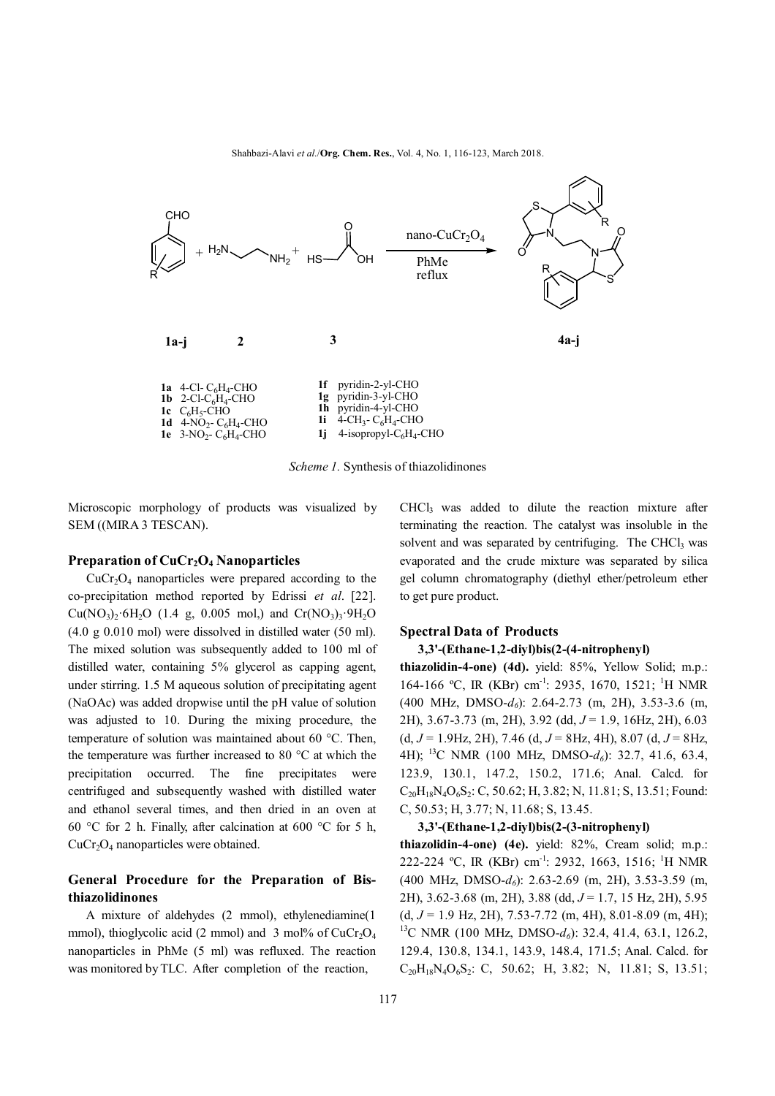

*Scheme 1.* Synthesis of thiazolidinones

Microscopic morphology of products was visualized by SEM ((MIRA 3 TESCAN).

#### **Preparation of CuCr2O<sup>4</sup> Nanoparticles**

 $CuCr<sub>2</sub>O<sub>4</sub>$  nanoparticles were prepared according to the co-precipitation method reported by Edrissi *et al*. [22].  $Cu(NO_3)_2.6H_2O$  (1.4 g, 0.005 mol.) and  $Cr(NO_3)_3.9H_2O$ (4.0 g 0.010 mol) were dissolved in distilled water (50 ml). The mixed solution was subsequently added to 100 ml of distilled water, containing 5% glycerol as capping agent, under stirring. 1.5 M aqueous solution of precipitating agent (NaOAc) was added dropwise until the pH value of solution was adjusted to 10. During the mixing procedure, the temperature of solution was maintained about 60 °C. Then, the temperature was further increased to 80 °C at which the precipitation occurred. The fine precipitates were centrifuged and subsequently washed with distilled water and ethanol several times, and then dried in an oven at 60 °C for 2 h. Finally, after calcination at 600 °C for 5 h, CuCr2O4 nanoparticles were obtained.

### **General Procedure for the Preparation of Bisthiazolidinones**

 A mixture of aldehydes (2 mmol), ethylenediamine(1 mmol), thioglycolic acid (2 mmol) and 3 mol% of CuCr<sub>2</sub>O<sub>4</sub> nanoparticles in PhMe (5 ml) was refluxed. The reaction was monitored by TLC. After completion of the reaction,

CHCl3 was added to dilute the reaction mixture after terminating the reaction. The catalyst was insoluble in the solvent and was separated by centrifuging. The CHCl<sub>3</sub> was evaporated and the crude mixture was separated by silica gel column chromatography (diethyl ether/petroleum ether to get pure product.

#### **Spectral Data of Products**

#### **3,3'-(Ethane-1,2-diyl)bis(2-(4-nitrophenyl)**

**thiazolidin-4-one) (4d).** yield: 85%, Yellow Solid; m.p.: 164-166 °C, IR (KBr) cm<sup>-1</sup>: 2935, 1670, 1521; <sup>1</sup>H NMR (400 MHz, DMSO-*d6*): 2.64-2.73 (m, 2H), 3.53-3.6 (m, 2H), 3.67-3.73 (m, 2H), 3.92 (dd, *J* = 1.9, 16Hz, 2H), 6.03  $(d, J = 1.9$ Hz, 2H), 7.46  $(d, J = 8$ Hz, 4H), 8.07  $(d, J = 8$ Hz, 4H); <sup>13</sup>C NMR (100 MHz, DMSO-*d6*): 32.7, 41.6, 63.4, 123.9, 130.1, 147.2, 150.2, 171.6; Anal. Calcd. for  $C_{20}H_{18}N_4O_6S_2$ : C, 50.62; H, 3.82; N, 11.81; S, 13.51; Found: C, 50.53; H, 3.77; N, 11.68; S, 13.45.

#### **3,3'-(Ethane-1,2-diyl)bis(2-(3-nitrophenyl)**

**thiazolidin-4-one) (4e).** yield: 82%, Cream solid; m.p.: 222-224 °C, IR (KBr) cm<sup>-1</sup>: 2932, 1663, 1516; <sup>1</sup>H NMR (400 MHz, DMSO-*d6*): 2.63-2.69 (m, 2H), 3.53-3.59 (m, 2H), 3.62-3.68 (m, 2H), 3.88 (dd, *J* = 1.7, 15 Hz, 2H), 5.95 (d, *J* = 1.9 Hz, 2H), 7.53-7.72 (m, 4H), 8.01-8.09 (m, 4H); <sup>13</sup>C NMR (100 MHz, DMSO-*d6*): 32.4, 41.4, 63.1, 126.2, 129.4, 130.8, 134.1, 143.9, 148.4, 171.5; Anal. Calcd. for  $C_{20}H_{18}N_4O_6S_2$ : C, 50.62; H, 3.82; N, 11.81; S, 13.51;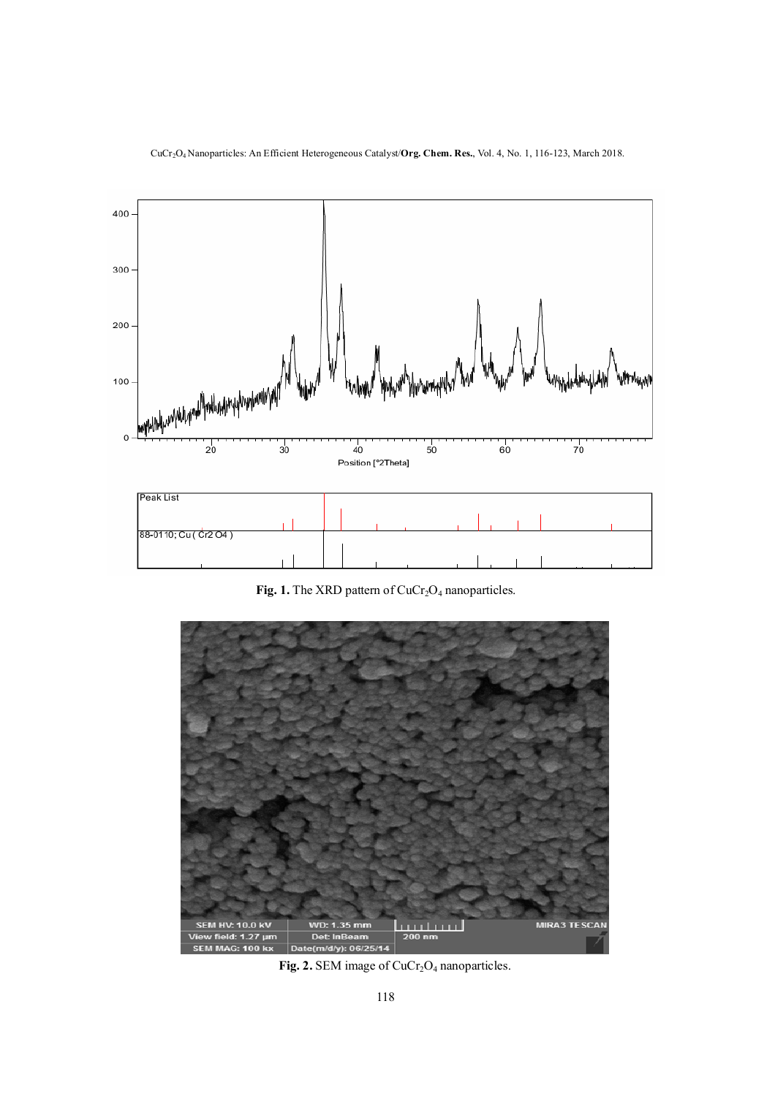

Fig. 1. The XRD pattern of CuCr<sub>2</sub>O<sub>4</sub> nanoparticles.



Fig. 2. SEM image of CuCr<sub>2</sub>O<sub>4</sub> nanoparticles.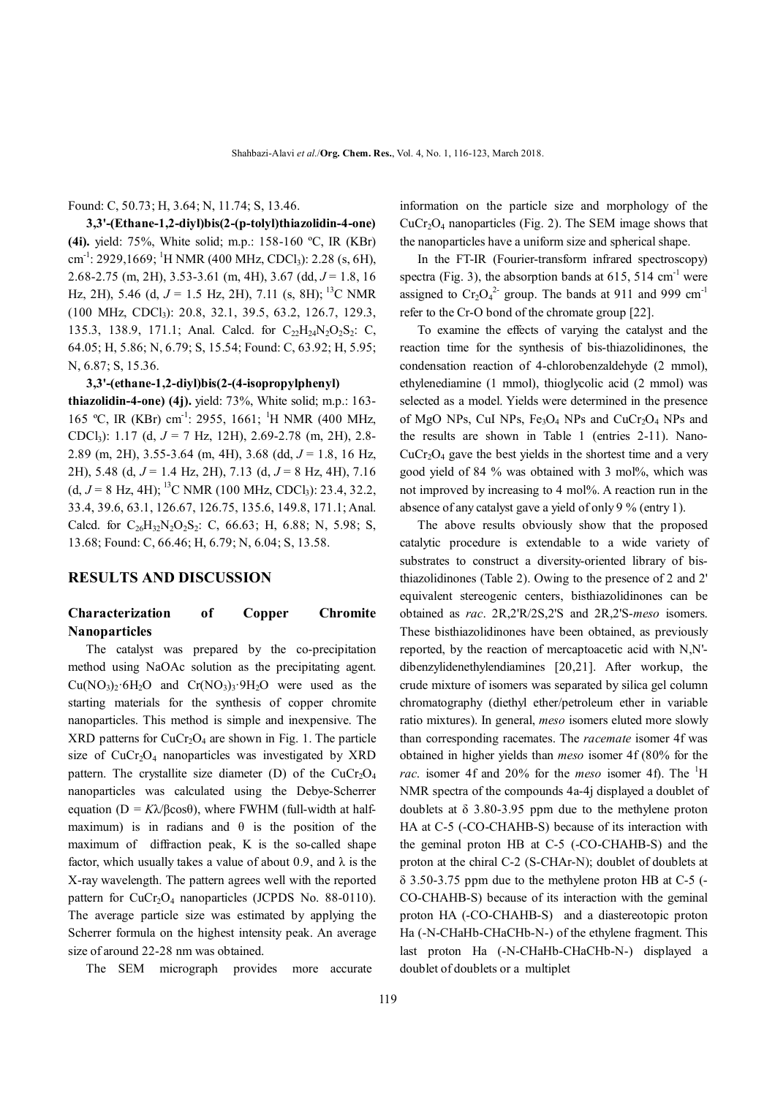Found: C, 50.73; H, 3.64; N, 11.74; S, 13.46.

 **3,3'-(Ethane-1,2-diyl)bis(2-(p-tolyl)thiazolidin-4-one) (4i).** yield: 75%, White solid; m.p.: 158-160 ºC, IR (KBr) cm<sup>-1</sup>: 2929,1669; <sup>1</sup>H NMR (400 MHz, CDCl<sub>3</sub>): 2.28 (s, 6H), 2.68-2.75 (m, 2H), 3.53-3.61 (m, 4H), 3.67 (dd, *J* = 1.8, 16 Hz, 2H), 5.46 (d, *J* = 1.5 Hz, 2H), 7.11 (s, 8H); <sup>13</sup>C NMR (100 MHz, CDCl3): 20.8, 32.1, 39.5, 63.2, 126.7, 129.3, 135.3, 138.9, 171.1; Anal. Calcd. for  $C_{22}H_{24}N_2O_2S_2$ : C, 64.05; H, 5.86; N, 6.79; S, 15.54; Found: C, 63.92; H, 5.95; N, 6.87; S, 15.36.

#### **3,3'-(ethane-1,2-diyl)bis(2-(4-isopropylphenyl)**

**thiazolidin-4-one) (4j).** yield: 73%, White solid; m.p.: 163- 165 °C, IR (KBr) cm<sup>-1</sup>: 2955, 1661; <sup>1</sup>H NMR (400 MHz, CDCl3): 1.17 (d, *J* = 7 Hz, 12H), 2.69-2.78 (m, 2H), 2.8- 2.89 (m, 2H), 3.55-3.64 (m, 4H), 3.68 (dd, *J* = 1.8, 16 Hz, 2H), 5.48 (d, *J* = 1.4 Hz, 2H), 7.13 (d, *J* = 8 Hz, 4H), 7.16 (d,  $J = 8$  Hz, 4H);<sup>13</sup>C NMR (100 MHz, CDCl<sub>3</sub>): 23.4, 32.2, 33.4, 39.6, 63.1, 126.67, 126.75, 135.6, 149.8, 171.1; Anal. Calcd. for  $C_{26}H_{32}N_2O_2S_2$ : C, 66.63; H, 6.88; N, 5.98; S, 13.68; Found: C, 66.46; H, 6.79; N, 6.04; S, 13.58.

### **RESULTS AND DISCUSSION**

### **Characterization of Copper Chromite Nanoparticles**

 The catalyst was prepared by the co-precipitation method using NaOAc solution as the precipitating agent.  $Cu(NO<sub>3</sub>)<sub>2</sub>·6H<sub>2</sub>O$  and  $Cr(NO<sub>3</sub>)<sub>3</sub>·9H<sub>2</sub>O$  were used as the starting materials for the synthesis of copper chromite nanoparticles. This method is simple and inexpensive. The  $XRD$  patterns for CuCr<sub>2</sub>O<sub>4</sub> are shown in Fig. 1. The particle size of  $CuCr<sub>2</sub>O<sub>4</sub>$  nanoparticles was investigated by XRD pattern. The crystallite size diameter (D) of the  $CuCr<sub>2</sub>O<sub>4</sub>$ nanoparticles was calculated using the Debye-Scherrer equation ( $D = K\lambda/\beta\cos\theta$ ), where FWHM (full-width at halfmaximum) is in radians and  $\theta$  is the position of the maximum of diffraction peak, K is the so-called shape factor, which usually takes a value of about 0.9, and  $\lambda$  is the X-ray wavelength. The pattern agrees well with the reported pattern for  $CuCr<sub>2</sub>O<sub>4</sub>$  nanoparticles (JCPDS No. 88-0110). The average particle size was estimated by applying the Scherrer formula on the highest intensity peak. An average size of around 22-28 nm was obtained.

The SEM micrograph provides more accurate

information on the particle size and morphology of the  $CuCr<sub>2</sub>O<sub>4</sub>$  nanoparticles (Fig. 2). The SEM image shows that the nanoparticles have a uniform size and spherical shape.

In the FT-IR (Fourier-transform infrared spectroscopy) spectra (Fig. 3), the absorption bands at  $615$ ,  $514 \text{ cm}^{-1}$  were assigned to  $Cr_2O_4^2$  group. The bands at 911 and 999 cm<sup>-1</sup> refer to the Cr-O bond of the chromate group [22].

To examine the effects of varying the catalyst and the reaction time for the synthesis of bis-thiazolidinones, the condensation reaction of 4-chlorobenzaldehyde (2 mmol), ethylenediamine (1 mmol), thioglycolic acid (2 mmol) was selected as a model. Yields were determined in the presence of MgO NPs, CuI NPs,  $Fe<sub>3</sub>O<sub>4</sub>$  NPs and CuCr<sub>2</sub>O<sub>4</sub> NPs and the results are shown in Table 1 (entries 2-11). Nano- $CuCr<sub>2</sub>O<sub>4</sub>$  gave the best yields in the shortest time and a very good yield of 84 % was obtained with 3 mol%, which was not improved by increasing to 4 mol%. A reaction run in the absence of any catalyst gave a yield of only 9 % (entry 1).

The above results obviously show that the proposed catalytic procedure is extendable to a wide variety of substrates to construct a diversity-oriented library of bisthiazolidinones (Table 2). Owing to the presence of 2 and 2' equivalent stereogenic centers, bisthiazolidinones can be obtained as *rac*. 2R,2'R/2S,2'S and 2R,2'S-*meso* isomers. These bisthiazolidinones have been obtained, as previously reported, by the reaction of mercaptoacetic acid with N,N' dibenzylidenethylendiamines [20,21]. After workup, the crude mixture of isomers was separated by silica gel column chromatography (diethyl ether/petroleum ether in variable ratio mixtures). In general, *meso* isomers eluted more slowly than corresponding racemates. The *racemate* isomer 4f was obtained in higher yields than *meso* isomer 4f (80% for the *rac*. isomer 4f and 20% for the *meso* isomer 4f). The <sup>1</sup>H NMR spectra of the compounds 4a-4j displayed a doublet of doublets at δ 3.80-3.95 ppm due to the methylene proton HA at C-5 (-CO-CHAHB-S) because of its interaction with the geminal proton HB at C-5 (-CO-CHAHB-S) and the proton at the chiral C-2 (S-CHAr-N); doublet of doublets at  $\delta$  3.50-3.75 ppm due to the methylene proton HB at C-5 (-CO-CHAHB-S) because of its interaction with the geminal proton HA (-CO-CHAHB-S) and a diastereotopic proton Ha (-N-CHaHb-CHaCHb-N-) of the ethylene fragment. This last proton Ha (-N-CHaHb-CHaCHb-N-) displayed a doublet of doublets or a multiplet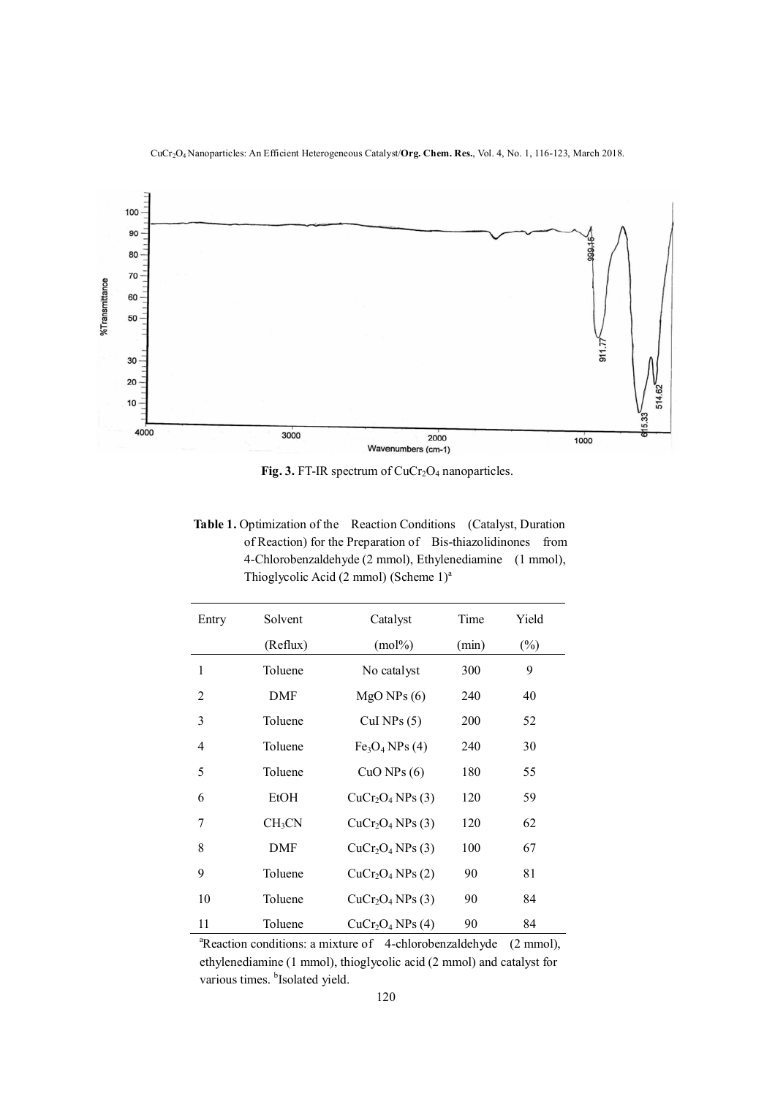



Fig. 3. FT-IR spectrum of CuCr<sub>2</sub>O<sub>4</sub> nanoparticles.

 **Table 1.** Optimization of the Reaction Conditions (Catalyst, Duration of Reaction) for the Preparation of Bis-thiazolidinones from 4-Chlorobenzaldehyde (2 mmol), Ethylenediamine (1 mmol), Thioglycolic Acid (2 mmol) (Scheme 1)<sup>a</sup>

| Entry | Solvent            | Catalyst                                 | Time  | Yield  |
|-------|--------------------|------------------------------------------|-------|--------|
|       | (Reflux)           | $(mol\%)$                                | (min) | $(\%)$ |
| 1     | Toluene            | No catalyst                              | 300   | 9      |
| 2     | <b>DMF</b>         | $MgO$ NPs $(6)$                          | 240   | 40     |
| 3     | Toluene            | CuI NPs $(5)$                            | 200   | 52     |
| 4     | Toluene            | Fe <sub>3</sub> O <sub>4</sub> NPs (4)   | 240   | 30     |
| 5     | Toluene            | $CuO$ NPs $(6)$                          | 180   | 55     |
| 6     | <b>EtOH</b>        | CuCr <sub>2</sub> O <sub>4</sub> NPs(3)  | 120   | 59     |
| 7     | CH <sub>3</sub> CN | CuCr <sub>2</sub> O <sub>4</sub> NPs(3)  | 120   | 62     |
| 8     | DMF                | CuCr <sub>2</sub> O <sub>4</sub> NPs (3) | 100   | 67     |
| 9     | Toluene            | CuCr <sub>2</sub> O <sub>4</sub> NPs(2)  | 90    | 81     |
| 10    | Toluene            | CuCr <sub>2</sub> O <sub>4</sub> NPs(3)  | 90    | 84     |
| 11    | Toluene            | CuCr <sub>2</sub> O <sub>4</sub> NPs (4) | 90    | 84     |

<sup>&</sup>lt;sup>a</sup>Reaction conditions: a mixture of 4-chlorobenzaldehyde (2 mmol), ethylenediamine (1 mmol), thioglycolic acid (2 mmol) and catalyst for various times. <sup>b</sup>Isolated yield.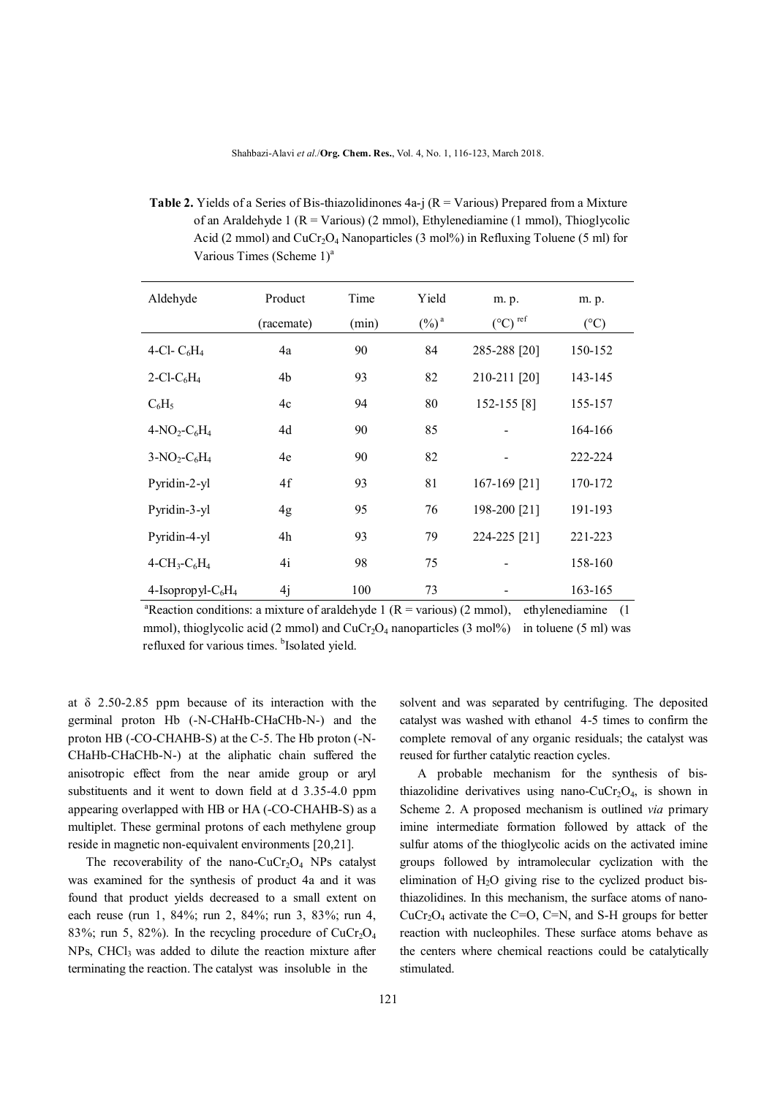Shahbazi-Alavi *et al*./**Org. Chem. Res.**, Vol. 4, No. 1, 116-123, March 2018.

**Table 2.** Yields of a Series of Bis-thiazolidinones  $4a$ -j (R = Various) Prepared from a Mixture of an Araldehyde 1 ( $R = \text{Various}$ ) (2 mmol), Ethylenediamine (1 mmol), Thioglycolic Acid (2 mmol) and  $CuCr<sub>2</sub>O<sub>4</sub>$  Nanoparticles (3 mol%) in Refluxing Toluene (5 ml) for Various Times (Scheme  $1)^a$ 

| Aldehyde                              | Product    | Time  | Yield    | m. p.                        | m. p.         |
|---------------------------------------|------------|-------|----------|------------------------------|---------------|
|                                       | (racemate) | (min) | $(\%)^a$ | $(^{\circ}C)$ <sup>ref</sup> | $(^{\circ}C)$ |
| 4-Cl- $C_6H_4$                        | 4a         | 90    | 84       | 285-288 [20]                 | 150-152       |
| $2$ -Cl-C <sub>6</sub> H <sub>4</sub> | 4b         | 93    | 82       | 210-211 [20]                 | 143-145       |
| $C_6H_5$                              | 4c         | 94    | 80       | 152-155 [8]                  | 155-157       |
| $4-NO_2-C_6H_4$                       | 4d         | 90    | 85       |                              | 164-166       |
| $3-NO_2-C_6H_4$                       | 4e         | 90    | 82       |                              | 222-224       |
| Pyridin-2-yl                          | 4f         | 93    | 81       | 167-169 [21]                 | 170-172       |
| Pyridin-3-yl                          | 4g         | 95    | 76       | 198-200 [21]                 | 191-193       |
| Pyridin-4-yl                          | 4h         | 93    | 79       | 224-225 [21]                 | 221-223       |
| $4 - CH_3 - C_6H_4$                   | 4i         | 98    | 75       |                              | 158-160       |
| 4-Isopropyl- $C_6H_4$                 | 4j         | 100   | 73       |                              | 163-165       |

<sup>a</sup>Reaction conditions: a mixture of araldehyde 1 (R = various) (2 mmol), ethylenediamine (1 mmol), thioglycolic acid (2 mmol) and  $CuCr<sub>2</sub>O<sub>4</sub>$  nanoparticles (3 mol%) in toluene (5 ml) was refluxed for various times. <sup>b</sup>Isolated yield.

at δ 2.50-2.85 ppm because of its interaction with the germinal proton Hb (-N-CHaHb-CHaCHb-N-) and the proton HB (-CO-CHAHB-S) at the C-5. The Hb proton (-N-CHaHb-CHaCHb-N-) at the aliphatic chain suffered the anisotropic effect from the near amide group or aryl substituents and it went to down field at d 3.35-4.0 ppm appearing overlapped with HB or HA (-CO-CHAHB-S) as a multiplet. These germinal protons of each methylene group reside in magnetic non-equivalent environments [20,21].

The recoverability of the nano-CuCr<sub>2</sub>O<sub>4</sub> NPs catalyst was examined for the synthesis of product 4a and it was found that product yields decreased to a small extent on each reuse (run 1, 84%; run 2, 84%; run 3, 83%; run 4, 83%; run 5, 82%). In the recycling procedure of  $CuCr<sub>2</sub>O<sub>4</sub>$  $NPs$ , CHCl<sub>3</sub> was added to dilute the reaction mixture after terminating the reaction. The catalyst was insoluble in the

solvent and was separated by centrifuging. The deposited catalyst was washed with ethanol 4-5 times to confirm the complete removal of any organic residuals; the catalyst was reused for further catalytic reaction cycles.

A probable mechanism for the synthesis of bisthiazolidine derivatives using nano-CuCr<sub>2</sub>O<sub>4</sub>, is shown in Scheme 2. A proposed mechanism is outlined *via* primary imine intermediate formation followed by attack of the sulfur atoms of the thioglycolic acids on the activated imine groups followed by intramolecular cyclization with the elimination of  $H_2O$  giving rise to the cyclized product bisthiazolidines. In this mechanism, the surface atoms of nano- $CuCr<sub>2</sub>O<sub>4</sub>$  activate the C=O, C=N, and S-H groups for better reaction with nucleophiles. These surface atoms behave as the centers where chemical reactions could be catalytically stimulated.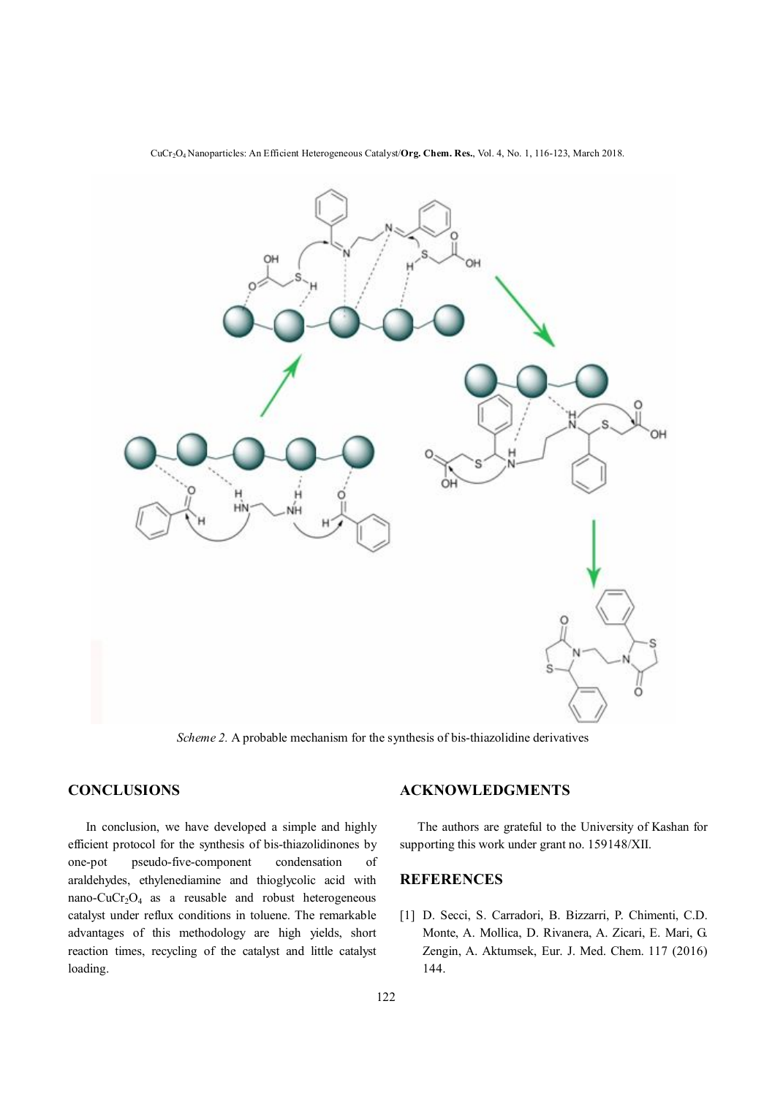

CuCr2O<sup>4</sup> Nanoparticles: An Efficient Heterogeneous Catalyst/**Org. Chem. Res.**, Vol. 4, No. 1, 116-123, March 2018.

*Scheme 2.* A probable mechanism for the synthesis of bis-thiazolidine derivatives

## **CONCLUSIONS**

In conclusion, we have developed a simple and highly efficient protocol for the synthesis of bis-thiazolidinones by one-pot pseudo-five-component condensation of araldehydes, ethylenediamine and thioglycolic acid with nano-CuCr2O<sup>4</sup> as a reusable and robust heterogeneous catalyst under reflux conditions in toluene. The remarkable advantages of this methodology are high yields, short reaction times, recycling of the catalyst and little catalyst loading.

### **ACKNOWLEDGMENTS**

The authors are grateful to the University of Kashan for supporting this work under grant no. 159148/XII.

## **REFERENCES**

[1] D. Secci, S. Carradori, B. Bizzarri, P. Chimenti, C.D. Monte, A. Mollica, D. Rivanera, A. Zicari, E. Mari, G. Zengin, A. Aktumsek, Eur. J. Med. Chem. 117 (2016) 144.